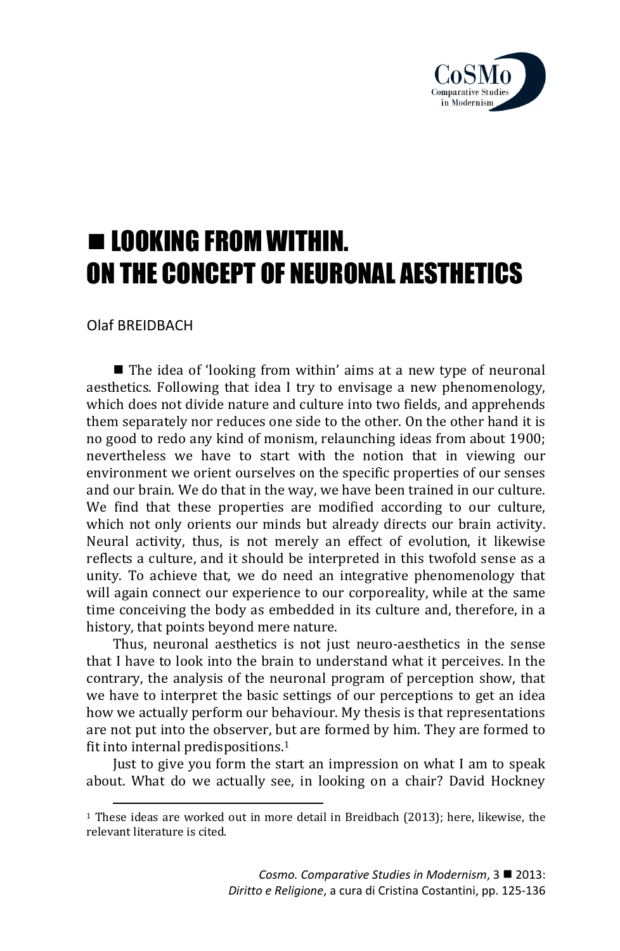

# **E LOOKING FROM WITHIN.** ON THE CONCEPT OF NEURONAL AESTHETICS

Olaf BREIDBACH

 $\overline{a}$ 

■ The idea of 'looking from within' aims at a new type of neuronal aesthetics. Following that idea I try to envisage a new phenomenology, which does not divide nature and culture into two fields, and apprehends them separately nor reduces one side to the other. On the other hand it is no good to redo any kind of monism, relaunching ideas from about 1900; nevertheless we have to start with the notion that in viewing our environment we orient ourselves on the specific properties of our senses and our brain. We do that in the way, we have been trained in our culture. We find that these properties are modified according to our culture, which not only orients our minds but already directs our brain activity. Neural activity, thus, is not merely an effect of evolution, it likewise reflects a culture, and it should be interpreted in this twofold sense as a unity. To achieve that, we do need an integrative phenomenology that will again connect our experience to our corporeality, while at the same time conceiving the body as embedded in its culture and, therefore, in a history, that points beyond mere nature.

Thus, neuronal aesthetics is not just neuro-aesthetics in the sense that I have to look into the brain to understand what it perceives. In the contrary, the analysis of the neuronal program of perception show, that we have to interpret the basic settings of our perceptions to get an idea how we actually perform our behaviour. My thesis is that representations are not put into the observer, but are formed by him. They are formed to fit into internal predispositions.<sup>1</sup>

Just to give you form the start an impression on what I am to speak about. What do we actually see, in looking on a chair? David Hockney

<sup>1</sup> These ideas are worked out in more detail in Breidbach (2013); here, likewise, the relevant literature is cited.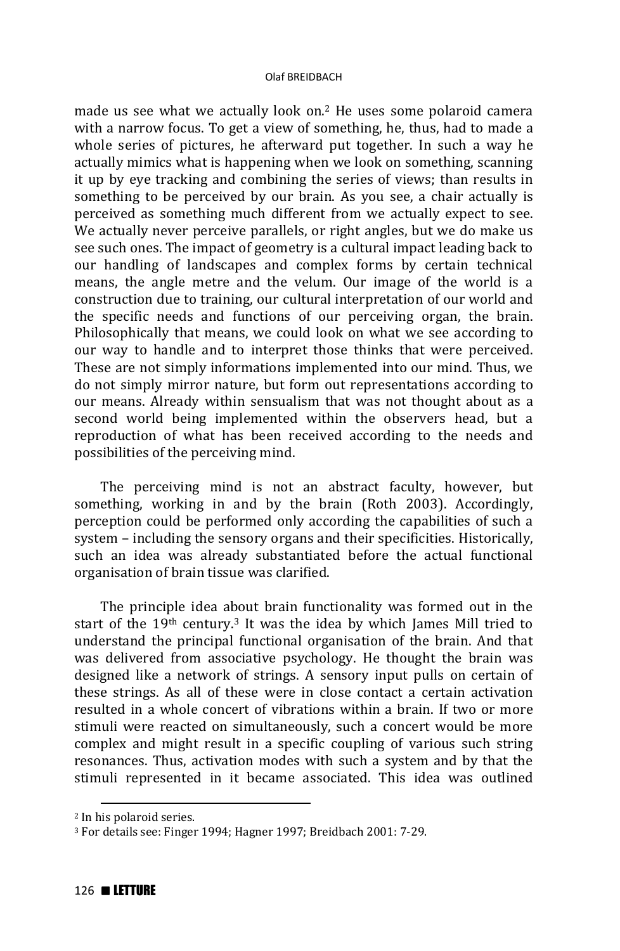made us see what we actually look on.2 He uses some polaroid camera with a narrow focus. To get a view of something, he, thus, had to made a whole series of pictures, he afterward put together. In such a way he actually mimics what is happening when we look on something, scanning it up by eye tracking and combining the series of views; than results in something to be perceived by our brain. As you see, a chair actually is perceived as something much different from we actually expect to see. We actually never perceive parallels, or right angles, but we do make us see such ones. The impact of geometry is a cultural impact leading back to our handling of landscapes and complex forms by certain technical means, the angle metre and the velum. Our image of the world is a construction due to training, our cultural interpretation of our world and the specific needs and functions of our perceiving organ, the brain. Philosophically that means, we could look on what we see according to our way to handle and to interpret those thinks that were perceived. These are not simply informations implemented into our mind. Thus, we do not simply mirror nature, but form out representations according to our means. Already within sensualism that was not thought about as a second world being implemented within the observers head, but a reproduction of what has been received according to the needs and possibilities of the perceiving mind.

The perceiving mind is not an abstract faculty, however, but something, working in and by the brain (Roth 2003). Accordingly, perception could be performed only according the capabilities of such a system – including the sensory organs and their specificities. Historically, such an idea was already substantiated before the actual functional organisation of brain tissue was clarified.

The principle idea about brain functionality was formed out in the start of the 19th century.3 It was the idea by which James Mill tried to understand the principal functional organisation of the brain. And that was delivered from associative psychology. He thought the brain was designed like a network of strings. A sensory input pulls on certain of these strings. As all of these were in close contact a certain activation resulted in a whole concert of vibrations within a brain. If two or more stimuli were reacted on simultaneously, such a concert would be more complex and might result in a specific coupling of various such string resonances. Thus, activation modes with such a system and by that the stimuli represented in it became associated. This idea was outlined

 $\overline{a}$ 

<sup>2</sup> In his polaroid series.

<sup>3</sup> For details see: Finger 1994; Hagner 1997; Breidbach 2001: 7-29.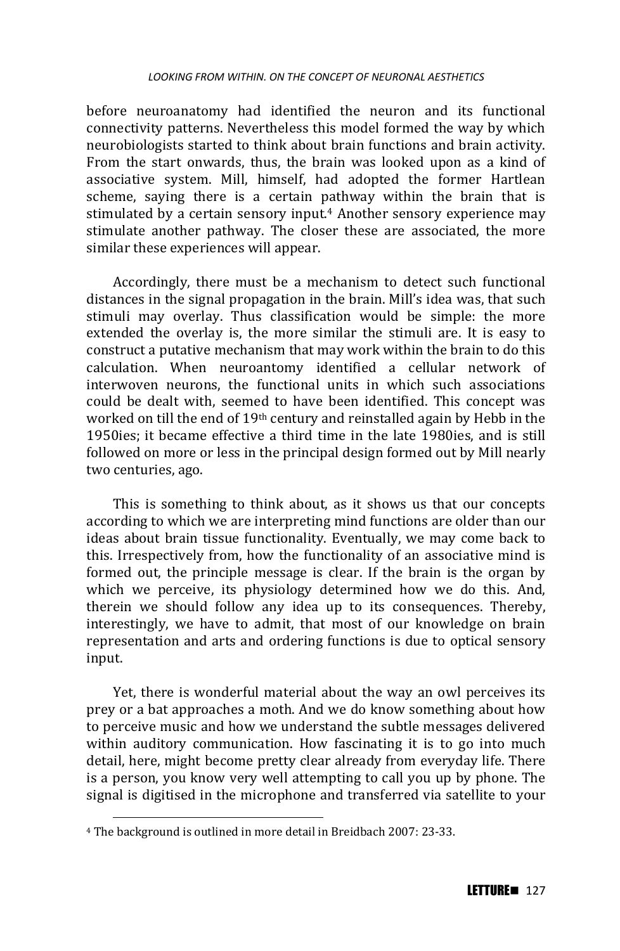before neuroanatomy had identified the neuron and its functional connectivity patterns. Nevertheless this model formed the way by which neurobiologists started to think about brain functions and brain activity. From the start onwards, thus, the brain was looked upon as a kind of associative system. Mill, himself, had adopted the former Hartlean scheme, saying there is a certain pathway within the brain that is stimulated by a certain sensory input.<sup>4</sup> Another sensory experience may stimulate another pathway. The closer these are associated, the more similar these experiences will appear.

Accordingly, there must be a mechanism to detect such functional distances in the signal propagation in the brain. Mill's idea was, that such stimuli may overlay. Thus classification would be simple: the more extended the overlay is, the more similar the stimuli are. It is easy to construct a putative mechanism that may work within the brain to do this calculation. When neuroantomy identified a cellular network of interwoven neurons, the functional units in which such associations could be dealt with, seemed to have been identified. This concept was worked on till the end of 19th century and reinstalled again by Hebb in the 1950ies; it became effective a third time in the late 1980ies, and is still followed on more or less in the principal design formed out by Mill nearly two centuries, ago.

This is something to think about, as it shows us that our concepts according to which we are interpreting mind functions are older than our ideas about brain tissue functionality. Eventually, we may come back to this. Irrespectively from, how the functionality of an associative mind is formed out, the principle message is clear. If the brain is the organ by which we perceive, its physiology determined how we do this. And, therein we should follow any idea up to its consequences. Thereby, interestingly, we have to admit, that most of our knowledge on brain representation and arts and ordering functions is due to optical sensory input.

Yet, there is wonderful material about the way an owl perceives its prey or a bat approaches a moth. And we do know something about how to perceive music and how we understand the subtle messages delivered within auditory communication. How fascinating it is to go into much detail, here, might become pretty clear already from everyday life. There is a person, you know very well attempting to call you up by phone. The signal is digitised in the microphone and transferred via satellite to your

 $\overline{a}$ 

<sup>4</sup> The background is outlined in more detail in Breidbach 2007: 23-33.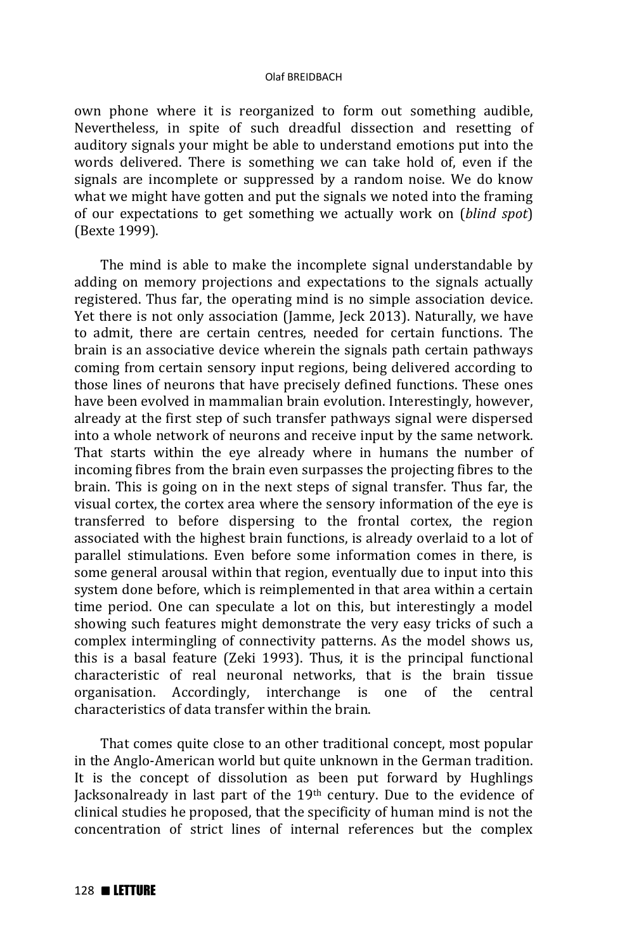own phone where it is reorganized to form out something audible, Nevertheless, in spite of such dreadful dissection and resetting of auditory signals your might be able to understand emotions put into the words delivered. There is something we can take hold of, even if the signals are incomplete or suppressed by a random noise. We do know what we might have gotten and put the signals we noted into the framing of our expectations to get something we actually work on (*blind spot*) (Bexte 1999).

The mind is able to make the incomplete signal understandable by adding on memory projections and expectations to the signals actually registered. Thus far, the operating mind is no simple association device. Yet there is not only association (Jamme, Jeck 2013). Naturally, we have to admit, there are certain centres, needed for certain functions. The brain is an associative device wherein the signals path certain pathways coming from certain sensory input regions, being delivered according to those lines of neurons that have precisely defined functions. These ones have been evolved in mammalian brain evolution. Interestingly, however, already at the first step of such transfer pathways signal were dispersed into a whole network of neurons and receive input by the same network. That starts within the eye already where in humans the number of incoming fibres from the brain even surpasses the projecting fibres to the brain. This is going on in the next steps of signal transfer. Thus far, the visual cortex, the cortex area where the sensory information of the eye is transferred to before dispersing to the frontal cortex, the region associated with the highest brain functions, is already overlaid to a lot of parallel stimulations. Even before some information comes in there, is some general arousal within that region, eventually due to input into this system done before, which is reimplemented in that area within a certain time period. One can speculate a lot on this, but interestingly a model showing such features might demonstrate the very easy tricks of such a complex intermingling of connectivity patterns. As the model shows us, this is a basal feature (Zeki 1993). Thus, it is the principal functional characteristic of real neuronal networks, that is the brain tissue organisation. Accordingly, interchange is one of the central characteristics of data transfer within the brain.

That comes quite close to an other traditional concept, most popular in the Anglo-American world but quite unknown in the German tradition. It is the concept of dissolution as been put forward by Hughlings Jacksonalready in last part of the 19th century. Due to the evidence of clinical studies he proposed, that the specificity of human mind is not the concentration of strict lines of internal references but the complex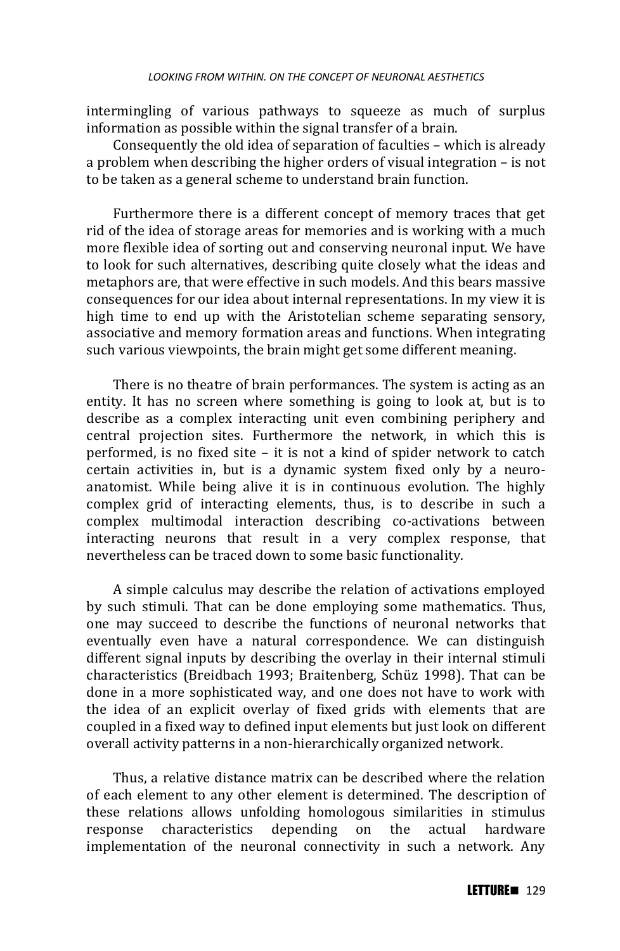intermingling of various pathways to squeeze as much of surplus information as possible within the signal transfer of a brain.

Consequently the old idea of separation of faculties – which is already a problem when describing the higher orders of visual integration – is not to be taken as a general scheme to understand brain function.

Furthermore there is a different concept of memory traces that get rid of the idea of storage areas for memories and is working with a much more flexible idea of sorting out and conserving neuronal input. We have to look for such alternatives, describing quite closely what the ideas and metaphors are, that were effective in such models. And this bears massive consequences for our idea about internal representations. In my view it is high time to end up with the Aristotelian scheme separating sensory, associative and memory formation areas and functions. When integrating such various viewpoints, the brain might get some different meaning.

There is no theatre of brain performances. The system is acting as an entity. It has no screen where something is going to look at, but is to describe as a complex interacting unit even combining periphery and central projection sites. Furthermore the network, in which this is performed, is no fixed site – it is not a kind of spider network to catch certain activities in, but is a dynamic system fixed only by a neuroanatomist. While being alive it is in continuous evolution. The highly complex grid of interacting elements, thus, is to describe in such a complex multimodal interaction describing co-activations between interacting neurons that result in a very complex response, that nevertheless can be traced down to some basic functionality.

A simple calculus may describe the relation of activations employed by such stimuli. That can be done employing some mathematics. Thus, one may succeed to describe the functions of neuronal networks that eventually even have a natural correspondence. We can distinguish different signal inputs by describing the overlay in their internal stimuli characteristics (Breidbach 1993; Braitenberg, Schüz 1998). That can be done in a more sophisticated way, and one does not have to work with the idea of an explicit overlay of fixed grids with elements that are coupled in a fixed way to defined input elements but just look on different overall activity patterns in a non-hierarchically organized network.

Thus, a relative distance matrix can be described where the relation of each element to any other element is determined. The description of these relations allows unfolding homologous similarities in stimulus response characteristics depending on the actual hardware implementation of the neuronal connectivity in such a network. Any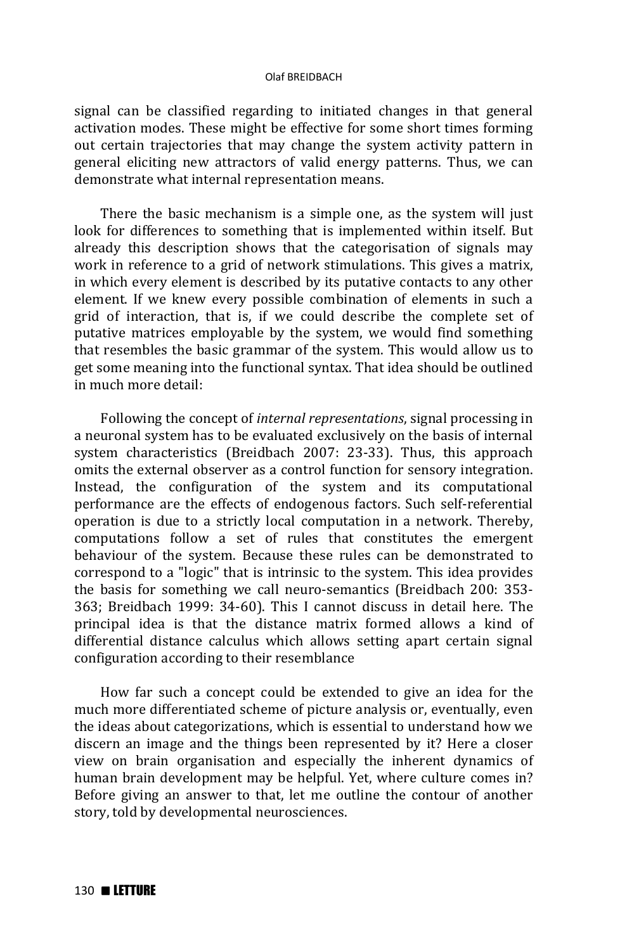signal can be classified regarding to initiated changes in that general activation modes. These might be effective for some short times forming out certain trajectories that may change the system activity pattern in general eliciting new attractors of valid energy patterns. Thus, we can demonstrate what internal representation means.

There the basic mechanism is a simple one, as the system will just look for differences to something that is implemented within itself. But already this description shows that the categorisation of signals may work in reference to a grid of network stimulations. This gives a matrix, in which every element is described by its putative contacts to any other element. If we knew every possible combination of elements in such a grid of interaction, that is, if we could describe the complete set of putative matrices employable by the system, we would find something that resembles the basic grammar of the system. This would allow us to get some meaning into the functional syntax. That idea should be outlined in much more detail:

Following the concept of *internal representations*, signal processing in a neuronal system has to be evaluated exclusively on the basis of internal system characteristics (Breidbach 2007: 23-33). Thus, this approach omits the external observer as a control function for sensory integration. Instead, the configuration of the system and its computational performance are the effects of endogenous factors. Such self-referential operation is due to a strictly local computation in a network. Thereby, computations follow a set of rules that constitutes the emergent behaviour of the system. Because these rules can be demonstrated to correspond to a "logic" that is intrinsic to the system. This idea provides the basis for something we call neuro-semantics (Breidbach 200: 353- 363; Breidbach 1999: 34-60). This I cannot discuss in detail here. The principal idea is that the distance matrix formed allows a kind of differential distance calculus which allows setting apart certain signal configuration according to their resemblance

How far such a concept could be extended to give an idea for the much more differentiated scheme of picture analysis or, eventually, even the ideas about categorizations, which is essential to understand how we discern an image and the things been represented by it? Here a closer view on brain organisation and especially the inherent dynamics of human brain development may be helpful. Yet, where culture comes in? Before giving an answer to that, let me outline the contour of another story, told by developmental neurosciences.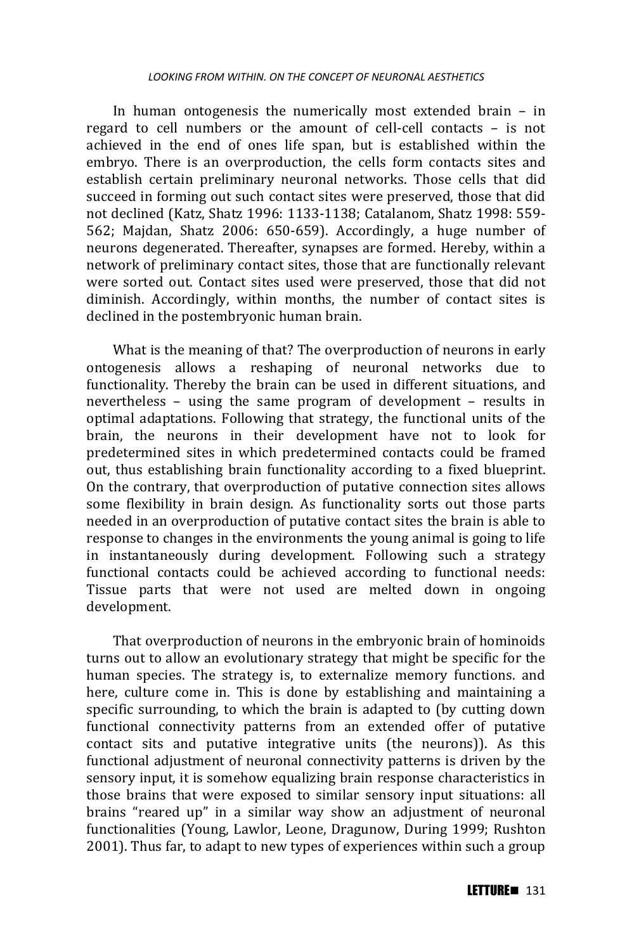In human ontogenesis the numerically most extended brain – in regard to cell numbers or the amount of cell-cell contacts – is not achieved in the end of ones life span, but is established within the embryo. There is an overproduction, the cells form contacts sites and establish certain preliminary neuronal networks. Those cells that did succeed in forming out such contact sites were preserved, those that did not declined (Katz, Shatz 1996: 1133-1138; Catalanom, Shatz 1998: 559- 562; Majdan, Shatz 2006: 650-659). Accordingly, a huge number of neurons degenerated. Thereafter, synapses are formed. Hereby, within a network of preliminary contact sites, those that are functionally relevant were sorted out. Contact sites used were preserved, those that did not diminish. Accordingly, within months, the number of contact sites is declined in the postembryonic human brain.

What is the meaning of that? The overproduction of neurons in early ontogenesis allows a reshaping of neuronal networks due to functionality. Thereby the brain can be used in different situations, and nevertheless – using the same program of development – results in optimal adaptations. Following that strategy, the functional units of the brain, the neurons in their development have not to look for predetermined sites in which predetermined contacts could be framed out, thus establishing brain functionality according to a fixed blueprint. On the contrary, that overproduction of putative connection sites allows some flexibility in brain design. As functionality sorts out those parts needed in an overproduction of putative contact sites the brain is able to response to changes in the environments the young animal is going to life in instantaneously during development. Following such a strategy functional contacts could be achieved according to functional needs: Tissue parts that were not used are melted down in ongoing development.

That overproduction of neurons in the embryonic brain of hominoids turns out to allow an evolutionary strategy that might be specific for the human species. The strategy is, to externalize memory functions. and here, culture come in. This is done by establishing and maintaining a specific surrounding, to which the brain is adapted to (by cutting down functional connectivity patterns from an extended offer of putative contact sits and putative integrative units (the neurons)). As this functional adjustment of neuronal connectivity patterns is driven by the sensory input, it is somehow equalizing brain response characteristics in those brains that were exposed to similar sensory input situations: all brains "reared up" in a similar way show an adjustment of neuronal functionalities (Young, Lawlor, Leone, Dragunow, During 1999; Rushton 2001). Thus far, to adapt to new types of experiences within such a group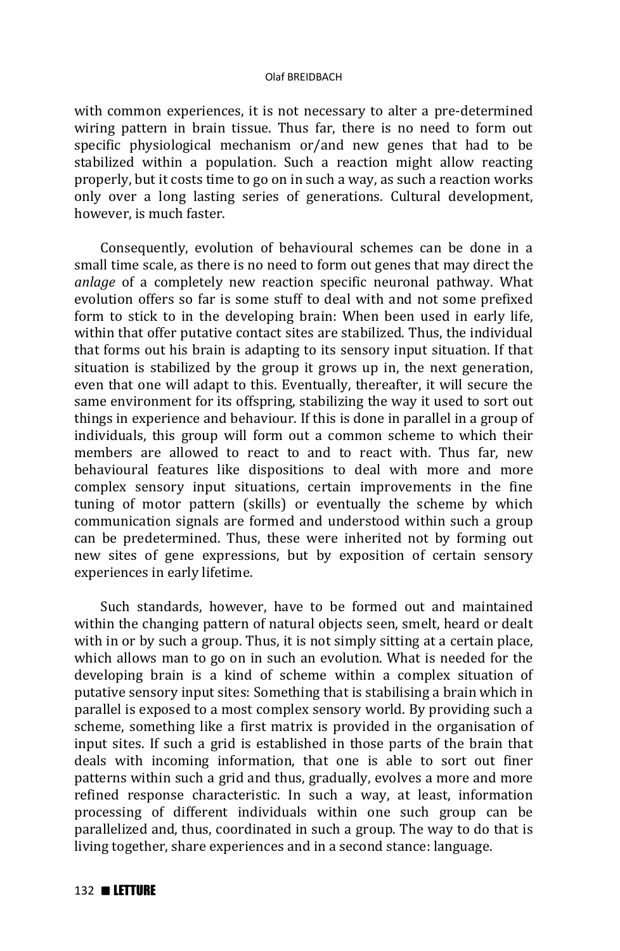with common experiences, it is not necessary to alter a pre-determined wiring pattern in brain tissue. Thus far, there is no need to form out specific physiological mechanism or/and new genes that had to be stabilized within a population. Such a reaction might allow reacting properly, but it costs time to go on in such a way, as such a reaction works only over a long lasting series of generations. Cultural development, however, is much faster.

Consequently, evolution of behavioural schemes can be done in a small time scale, as there is no need to form out genes that may direct the *anlage* of a completely new reaction specific neuronal pathway. What evolution offers so far is some stuff to deal with and not some prefixed form to stick to in the developing brain: When been used in early life, within that offer putative contact sites are stabilized. Thus, the individual that forms out his brain is adapting to its sensory input situation. If that situation is stabilized by the group it grows up in, the next generation, even that one will adapt to this. Eventually, thereafter, it will secure the same environment for its offspring, stabilizing the way it used to sort out things in experience and behaviour. If this is done in parallel in a group of individuals, this group will form out a common scheme to which their members are allowed to react to and to react with. Thus far, new behavioural features like dispositions to deal with more and more complex sensory input situations, certain improvements in the fine tuning of motor pattern (skills) or eventually the scheme by which communication signals are formed and understood within such a group can be predetermined. Thus, these were inherited not by forming out new sites of gene expressions, but by exposition of certain sensory experiences in early lifetime.

Such standards, however, have to be formed out and maintained within the changing pattern of natural objects seen, smelt, heard or dealt with in or by such a group. Thus, it is not simply sitting at a certain place, which allows man to go on in such an evolution. What is needed for the developing brain is a kind of scheme within a complex situation of putative sensory input sites: Something that is stabilising a brain which in parallel is exposed to a most complex sensory world. By providing such a scheme, something like a first matrix is provided in the organisation of input sites. If such a grid is established in those parts of the brain that deals with incoming information, that one is able to sort out finer patterns within such a grid and thus, gradually, evolves a more and more refined response characteristic. In such a way, at least, information processing of different individuals within one such group can be parallelized and, thus, coordinated in such a group. The way to do that is living together, share experiences and in a second stance: language.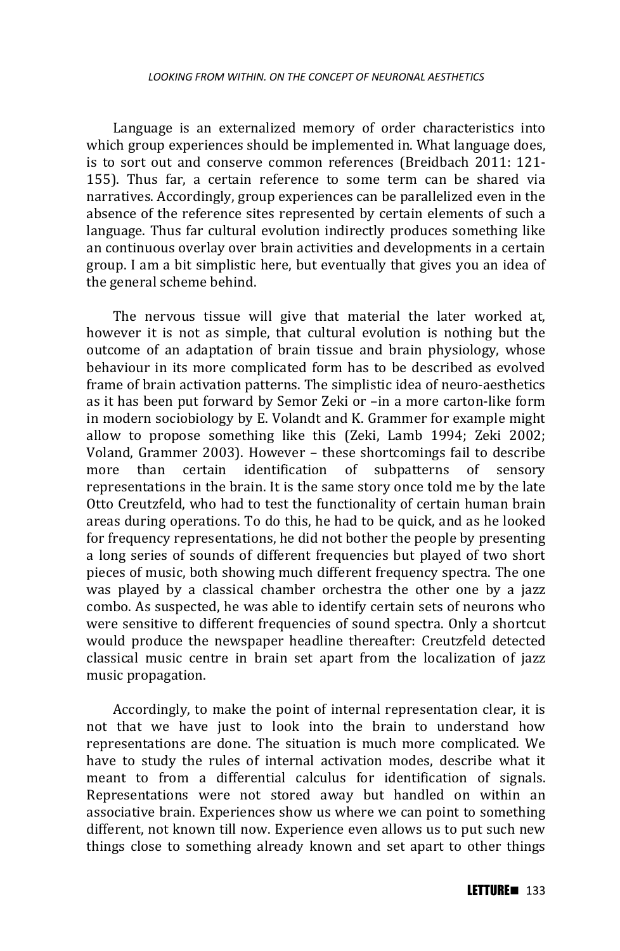Language is an externalized memory of order characteristics into which group experiences should be implemented in. What language does, is to sort out and conserve common references (Breidbach 2011: 121- 155). Thus far, a certain reference to some term can be shared via narratives. Accordingly, group experiences can be parallelized even in the absence of the reference sites represented by certain elements of such a language. Thus far cultural evolution indirectly produces something like an continuous overlay over brain activities and developments in a certain group. I am a bit simplistic here, but eventually that gives you an idea of the general scheme behind.

The nervous tissue will give that material the later worked at, however it is not as simple, that cultural evolution is nothing but the outcome of an adaptation of brain tissue and brain physiology, whose behaviour in its more complicated form has to be described as evolved frame of brain activation patterns. The simplistic idea of neuro-aesthetics as it has been put forward by Semor Zeki or –in a more carton-like form in modern sociobiology by E. Volandt and K. Grammer for example might allow to propose something like this (Zeki, Lamb 1994; Zeki 2002; Voland, Grammer 2003). However – these shortcomings fail to describe more than certain identification of subpatterns of sensory representations in the brain. It is the same story once told me by the late Otto Creutzfeld, who had to test the functionality of certain human brain areas during operations. To do this, he had to be quick, and as he looked for frequency representations, he did not bother the people by presenting a long series of sounds of different frequencies but played of two short pieces of music, both showing much different frequency spectra. The one was played by a classical chamber orchestra the other one by a jazz combo. As suspected, he was able to identify certain sets of neurons who were sensitive to different frequencies of sound spectra. Only a shortcut would produce the newspaper headline thereafter: Creutzfeld detected classical music centre in brain set apart from the localization of jazz music propagation.

Accordingly, to make the point of internal representation clear, it is not that we have just to look into the brain to understand how representations are done. The situation is much more complicated. We have to study the rules of internal activation modes, describe what it meant to from a differential calculus for identification of signals. Representations were not stored away but handled on within an associative brain. Experiences show us where we can point to something different, not known till now. Experience even allows us to put such new things close to something already known and set apart to other things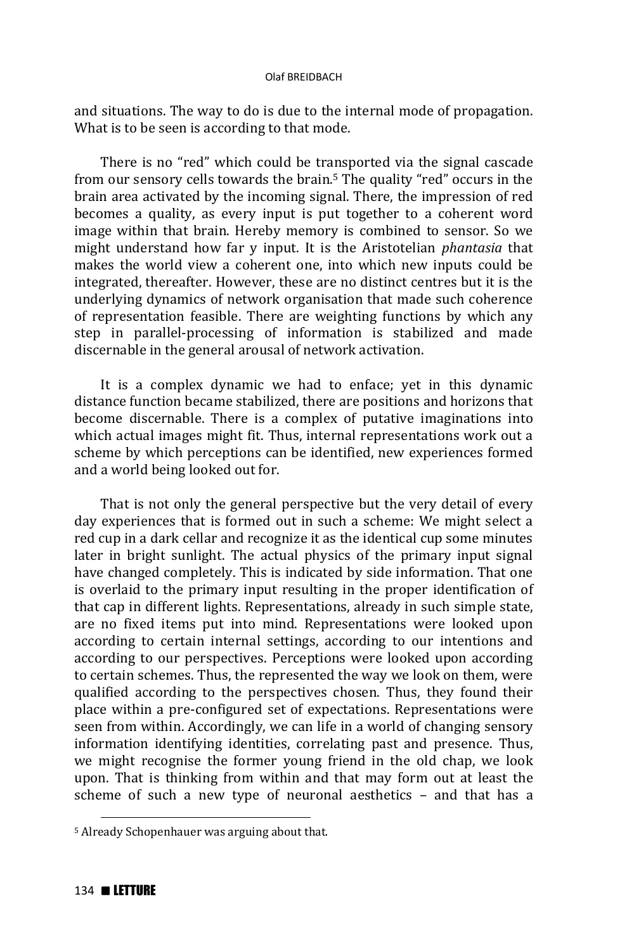and situations. The way to do is due to the internal mode of propagation. What is to be seen is according to that mode.

There is no "red" which could be transported via the signal cascade from our sensory cells towards the brain.5 The quality "red" occurs in the brain area activated by the incoming signal. There, the impression of red becomes a quality, as every input is put together to a coherent word image within that brain. Hereby memory is combined to sensor. So we might understand how far y input. It is the Aristotelian *phantasia* that makes the world view a coherent one, into which new inputs could be integrated, thereafter. However, these are no distinct centres but it is the underlying dynamics of network organisation that made such coherence of representation feasible. There are weighting functions by which any step in parallel-processing of information is stabilized and made discernable in the general arousal of network activation.

It is a complex dynamic we had to enface; yet in this dynamic distance function became stabilized, there are positions and horizons that become discernable. There is a complex of putative imaginations into which actual images might fit. Thus, internal representations work out a scheme by which perceptions can be identified, new experiences formed and a world being looked out for.

That is not only the general perspective but the very detail of every day experiences that is formed out in such a scheme: We might select a red cup in a dark cellar and recognize it as the identical cup some minutes later in bright sunlight. The actual physics of the primary input signal have changed completely. This is indicated by side information. That one is overlaid to the primary input resulting in the proper identification of that cap in different lights. Representations, already in such simple state, are no fixed items put into mind. Representations were looked upon according to certain internal settings, according to our intentions and according to our perspectives. Perceptions were looked upon according to certain schemes. Thus, the represented the way we look on them, were qualified according to the perspectives chosen. Thus, they found their place within a pre-configured set of expectations. Representations were seen from within. Accordingly, we can life in a world of changing sensory information identifying identities, correlating past and presence. Thus, we might recognise the former young friend in the old chap, we look upon. That is thinking from within and that may form out at least the scheme of such a new type of neuronal aesthetics – and that has a

 $\overline{a}$ 

<sup>5</sup> Already Schopenhauer was arguing about that.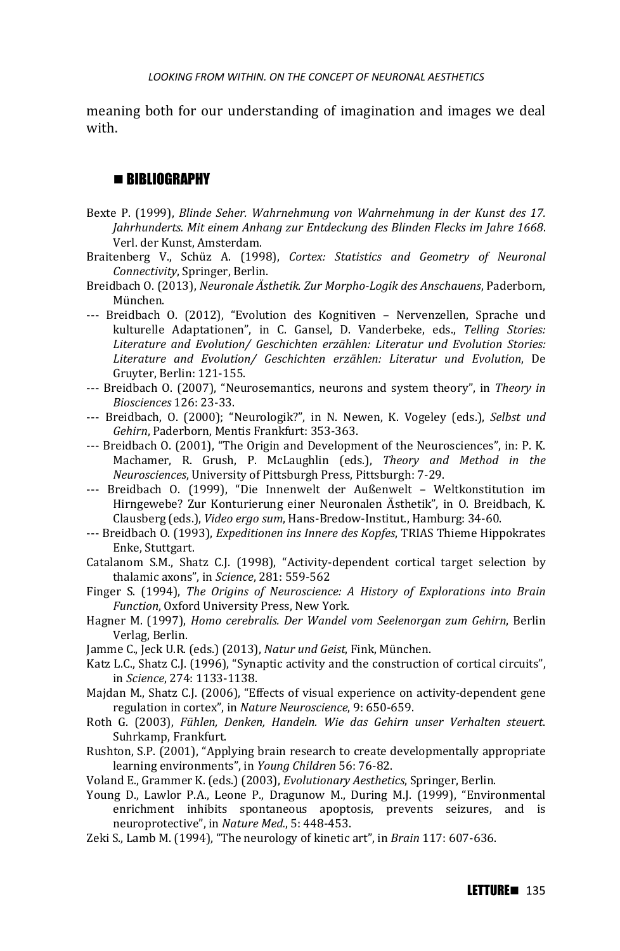meaning both for our understanding of imagination and images we deal with.

## **BIBLIOGRAPHY**

- Bexte P. (1999), *Blinde Seher. Wahrnehmung von Wahrnehmung in der Kunst des 17. Jahrhunderts. Mit einem Anhang zur Entdeckung des Blinden Flecks im Jahre 1668*. Verl. der Kunst, Amsterdam.
- Braitenberg V., Schüz A. (1998), *Cortex: Statistics and Geometry of Neuronal Connectivity*, Springer, Berlin.
- Breidbach O. (2013), *Neuronale Ästhetik. Zur Morpho-Logik des Anschauens*, Paderborn, München.
- --- Breidbach O. (2012), "Evolution des Kognitiven Nervenzellen, Sprache und kulturelle Adaptationen", in C. Gansel, D. Vanderbeke, eds., *Telling Stories: Literature and Evolution/ Geschichten erzählen: Literatur und Evolution Stories: Literature and Evolution/ Geschichten erzählen: Literatur und Evolution*, De Gruyter, Berlin: 121-155.
- --- Breidbach O. (2007), "Neurosemantics, neurons and system theory", in *Theory in Biosciences* 126: 23-33.
- --- Breidbach, O. (2000); "Neurologik?", in N. Newen, K. Vogeley (eds.), *Selbst und Gehirn*, Paderborn, Mentis Frankfurt: 353-363.
- --- Breidbach O. (2001), "The Origin and Development of the Neurosciences", in: P. K. Machamer, R. Grush, P. McLaughlin (eds.), *Theory and Method in the Neurosciences*, University of Pittsburgh Press, Pittsburgh: 7-29.
- --- Breidbach O. (1999), "Die Innenwelt der Außenwelt Weltkonstitution im Hirngewebe? Zur Konturierung einer Neuronalen Ästhetik", in O. Breidbach, K. Clausberg (eds.), *Video ergo sum*, Hans-Bredow-Institut., Hamburg: 34-60.
- --- Breidbach O. (1993), *Expeditionen ins Innere des Kopfes*, TRIAS Thieme Hippokrates Enke, Stuttgart.
- Catalanom S.M., Shatz C.J. (1998), "Activity-dependent cortical target selection by thalamic axons", in *Science*, 281: 559-562
- Finger S. (1994), *The Origins of Neuroscience: A History of Explorations into Brain Function*, Oxford University Press, New York.
- Hagner M. (1997), *Homo cerebralis. Der Wandel vom Seelenorgan zum Gehirn*, Berlin Verlag, Berlin.
- Jamme C., Jeck U.R. (eds.) (2013), *Natur und Geist*, Fink, München.
- Katz L.C., Shatz C.J. (1996), "Synaptic activity and the construction of cortical circuits", in *Science*, 274: 1133-1138.
- Majdan M., Shatz C.J. (2006), "Effects of visual experience on activity-dependent gene regulation in cortex", in *Nature Neuroscience*, 9: 650-659.
- Roth G. (2003), *Fühlen, Denken, Handeln. Wie das Gehirn unser Verhalten steuert*. Suhrkamp, Frankfurt.
- Rushton, S.P. (2001), "Applying brain research to create developmentally appropriate learning environments", in *Young Children* 56: 76-82.
- Voland E., Grammer K. (eds.) (2003), *Evolutionary Aesthetics*, Springer, Berlin.
- Young D., Lawlor P.A., Leone P., Dragunow M., During M.J. (1999), "Environmental enrichment inhibits spontaneous apoptosis, prevents seizures, and is neuroprotective", in *Nature Med.*, 5: 448-453.
- Zeki S., Lamb M. (1994), "The neurology of kinetic art", in *Brain* 117: 607-636.